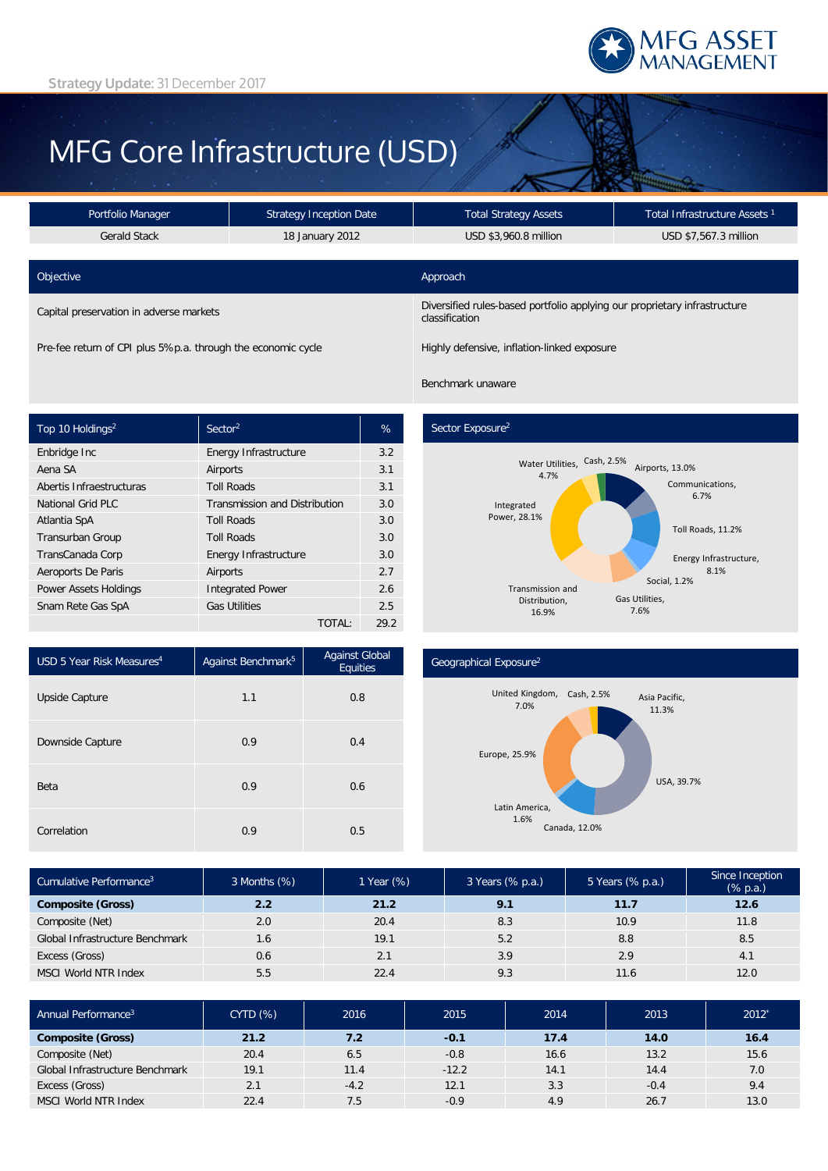

# MFG Core Infrastructure (USD)

| Portfolio Manager<br><b>Strategy Inception Date</b>          |                 | <b>Total Strategy Assets</b>                                                                | Total Infrastructure Assets <sup>1</sup> |  |  |
|--------------------------------------------------------------|-----------------|---------------------------------------------------------------------------------------------|------------------------------------------|--|--|
| <b>Gerald Stack</b>                                          | 18 January 2012 | USD \$3,960.8 million                                                                       | USD \$7,567.3 million                    |  |  |
|                                                              |                 |                                                                                             |                                          |  |  |
| Objective                                                    |                 | Approach                                                                                    |                                          |  |  |
| Capital preservation in adverse markets                      |                 | Diversified rules-based portfolio applying our proprietary infrastructure<br>classification |                                          |  |  |
| Pre-fee return of CPI plus 5%p.a. through the economic cycle |                 | Highly defensive, inflation-linked exposure                                                 |                                          |  |  |

Benchmark unaware

| Top 10 Holdings <sup>2</sup> | Sector <sup>2</sup>                  | %    |
|------------------------------|--------------------------------------|------|
| Enbridge Inc                 | Energy Infrastructure                | 3.2  |
| Aena SA                      | Airports                             | 3.1  |
| Abertis Infraestructuras     | <b>Toll Roads</b>                    | 3.1  |
| <b>National Grid PLC</b>     | <b>Transmission and Distribution</b> | 3.0  |
| Atlantia SpA                 | <b>Toll Roads</b>                    | 3.0  |
| Transurban Group             | <b>Toll Roads</b>                    | 3.0  |
| TransCanada Corp             | Energy Infrastructure                | 3.0  |
| Aeroports De Paris           | Airports                             | 2.7  |
| <b>Power Assets Holdings</b> | <b>Integrated Power</b>              |      |
| Snam Rete Gas SpA            | <b>Gas Utilities</b>                 | 2.5  |
|                              | TOTAL:                               | 29.2 |

### Sector Exposure<sup>2</sup>



| USD 5 Year Risk Measures <sup>4</sup> | Against Benchmark <sup>5</sup> | <b>Against Global</b><br>Equities |  |
|---------------------------------------|--------------------------------|-----------------------------------|--|
| Upside Capture                        | 1.1                            | 0.8                               |  |
| Downside Capture                      | 0.9                            | 0.4                               |  |
| Beta                                  | 0.9                            | 0.6                               |  |
| Correlation                           | 0.9                            | 0.5                               |  |

#### Geographical Exposure2



| Cumulative Performance <sup>3</sup> | 3 Months (%) | 1 Year (%) | 3 Years (% p.a.) | 5 Years (% p.a.) | Since Inception<br>$(% \mathbb{R}^2)$ (% p.a.) |
|-------------------------------------|--------------|------------|------------------|------------------|------------------------------------------------|
| <b>Composite (Gross)</b>            | 2.2          | 21.2       | 9.1              | 11.7             | 12.6                                           |
| Composite (Net)                     | 2.0          | 20.4       | 8.3              | 10.9             | 11.8                                           |
| Global Infrastructure Benchmark     | 1.6          | 19.1       | 5.2              | 8.8              | 8.5                                            |
| Excess (Gross)                      | 0.6          | 2.1        | 3.9              | 2.9              | 4.1                                            |
| <b>MSCI World NTR Index</b>         | 5.5          | 22.4       | 9.3              | 11.6             | 12.0                                           |

| Annual Performance <sup>3</sup> | <b>CYTD (%)</b> | 2016   | 2015    | 2014 | 2013   | $2012*$ |
|---------------------------------|-----------------|--------|---------|------|--------|---------|
| <b>Composite (Gross)</b>        | 21.2            | 7.2    | $-0.1$  | 17.4 | 14.0   | 16.4    |
| Composite (Net)                 | 20.4            | 6.5    | $-0.8$  | 16.6 | 13.2   | 15.6    |
| Global Infrastructure Benchmark | 19.1            | 11.4   | $-12.2$ | 14.1 | 14.4   | 7.0     |
| Excess (Gross)                  | 2.1             | $-4.2$ | 12.1    | 3.3  | $-0.4$ | 9.4     |
| MSCI World NTR Index            | 22.4            | 7.5    | $-0.9$  | 4.9  | 26.7   | 13.0    |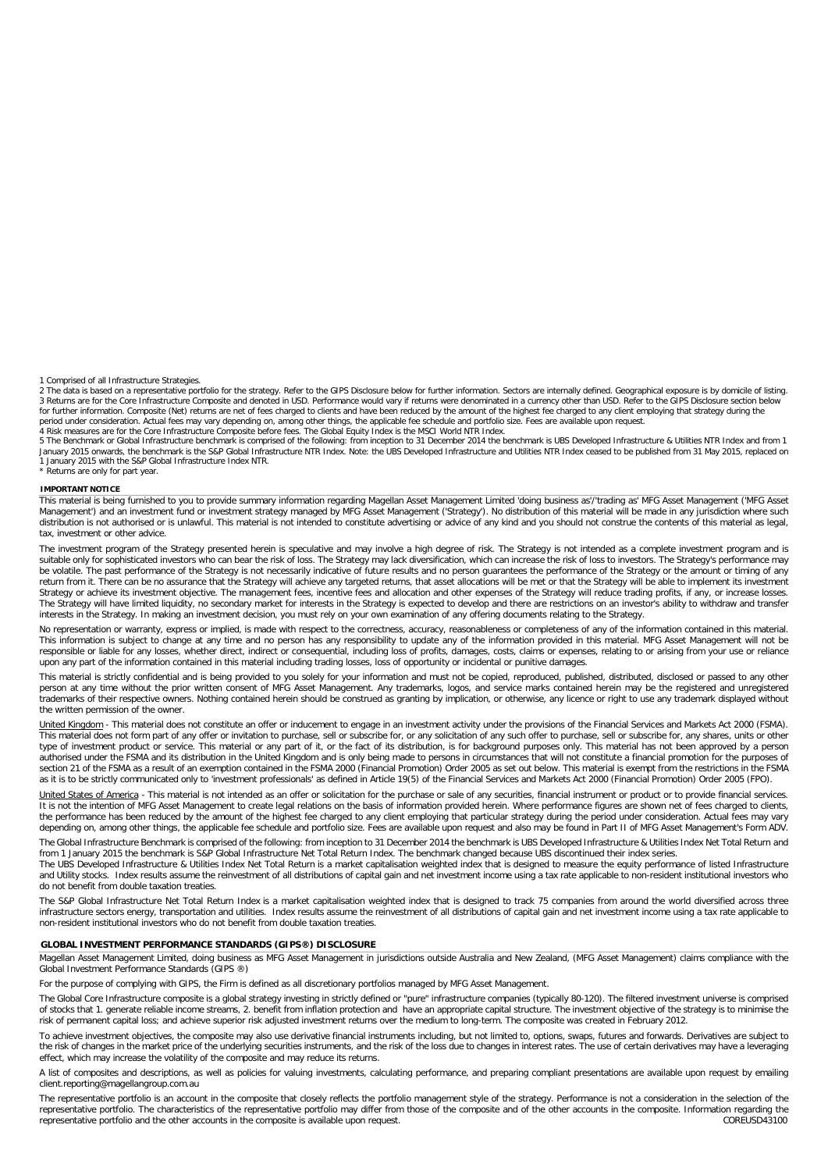1 Comprised of all Infrastructure Strategies.

2 The data is based on a representative portfolio for the strategy. Refer to the GIPS Disclosure below for further information. Sectors are internally defined. Geographical exposure is by domicile of listing. 3 Returns are for the Core Infrastructure Composite and denoted in USD. Performance would vary if returns were denominated in a currency other than USD. Refer to the GIPS Disclosure section below<br>for further information. C period under consideration. Actual fees may vary depending on, among other things, the applicable fee schedule and portfolio size. Fees are available upon request.<br>4 Risk measures are for the Core Infrastructure Composite

5 The Benchmark or Global Infrastructure benchmark is comprised of the following: from inception to 31 December 2014 the benchmark is UBS Developed Infrastructure & Utilities NTR Index and from 1 January 2015 onwards, the benchmark is the S&P Global Infrastructure NTR Index. Note: the UBS Developed Infrastructure and Utilities NTR Index ceased to be published from 31 May 2015, replaced on<br>1 January 2015 with the S&

\* Returns are only for part year.

#### **IMPORTANT NOTICE**

This material is being furnished to you to provide summary information regarding Magellan Asset Management Limited 'doing business as'/'trading as' MFG Asset Management ('MFG Asset Management') and an investment fund or investment strategy managed by MFG Asset Management ('Strategy'). No distribution of this material will be made in any jurisdiction where such distribution is not authorised or is unlawful. This material is not intended to constitute advertising or advice of any kind and you should not construe the contents of this material as legal, tax, investment or other advice.

The investment program of the Strategy presented herein is speculative and may involve a high degree of risk. The Strategy is not intended as a complete investment program and is suitable only for sophisticated investors who can bear the risk of loss. The Strategy may lack diversification, which can increase the risk of loss to investors. The Strategy's performance may<br>be volatile. The past perform return from it. There can be no assurance that the Strategy will achieve any targeted returns, that asset allocations will be met or that the Strategy will be able to implement its investment Strategy or achieve its investment objective. The management fees, incentive fees and allocation and other expenses of the Strategy will reduce trading profits, if any, or increase losses. The Strategy will have limited liquidity, no secondary market for interests in the Strategy is expected to develop and there are restrictions on an investor's ability to withdraw and transfer interests in the Strategy. In making an investment decision, you must rely on your own examination of any offering documents relating to the Strategy.

No representation or warranty, express or implied, is made with respect to the correctness, accuracy, reasonableness or completeness of any of the information contained in this material.<br>This information is subject to chan responsible or liable for any losses, whether direct, indirect or consequential, including loss of profits, damages, costs, claims or expenses, relating to or arising from your use or reliance upon any part of the information contained in this material including trading losses, loss of opportunity or incidental or punitive damages.

This material is strictly confidential and is being provided to you solely for your information and must not be copied, reproduced, published, distributed, disclosed or passed to any other<br>person at any time without the pr the written permission of the owner.

United Kingdom - This material does not constitute an offer or inducement to engage in an investment activity under the provisions of the Financial Services and Markets Act 2000 (FSMA). This material does not form part of any offer or invitation to purchase, sell or subscribe for, or any solicitation of any such offer to purchase, sell or subscribe for, any shares, units or other<br>type of investment produc authorised under the FSMA and its distribution in the United Kingdom and is only being made to persons in circumstances that will not constitute a financial promotion for the purposes of section 21 of the FSMA as a result of an exemption contained in the FSMA 2000 (Financial Promotion) Order 2005 as set out below. This material is exempt from the restrictions in the FSMA as it is to be strictly communicated only to 'investment professionals' as defined in Article 19(5) of the Financial Services and Markets Act 2000 (Financial Promotion) Order 2005 (FPO).

United States of America - This material is not intended as an offer or solicitation for the purchase or sale of any securities, financial instrument or product or to provide financial services. It is not the intention of MFG Asset Management to create legal relations on the basis of information provided herein. Where performance figures are shown net of fees charged to clients,<br>the performance has been reduced by depending on, among other things, the applicable fee schedule and portfolio size. Fees are available upon request and also may be found in Part II of MFG Asset Management's Form ADV.

The Global Infrastructure Benchmark is comprised of the following: from inception to 31 December 2014 the benchmark is UBS Developed Infrastructure & Utilities Index Net Total Return and from 1 January 2015 the benchmark is S&P Global Infrastructure Net Total Return Index. The benchmark changed because UBS discontinued their index series.<br>The UBS Developed Infrastructure & Utilities Index Net Total Return

and Utility stocks. Index results assume the reinvestment of all distributions of capital gain and net investment income using a tax rate applicable to non-resident institutional investors who are applicable to non-residen do not benefit from double taxation treaties.

The S&P Global Infrastructure Net Total Return Index is a market capitalisation weighted index that is designed to track 75 companies from around the world diversified across three infrastructure sectors energy, transportation and utilities. Index results assume the reinvestment of all distributions of capital gain and net investment income using a tax rate applicable to non-resident institutional investors who do not benefit from double taxation treaties.

#### **GLOBAL INVESTMENT PERFORMANCE STANDARDS (GIPS®) DISCLOSURE**

Magellan Asset Management Limited, doing business as MFG Asset Management in jurisdictions outside Australia and New Zealand, (MFG Asset Management) claims compliance with the Global Investment Performance Standards (GIPS ®)

For the purpose of complying with GIPS, the Firm is defined as all discretionary portfolios managed by MFG Asset Management.

The Global Core Infrastructure composite is a global strategy investing in strictly defined or "pure" infrastructure companies (typically 80-120). The filtered investment universe is comprised of stocks that 1. generate reliable income streams, 2. benefit from inflation protection and have an appropriate capital structure. The investment objective of the strategy is to minimise the risk of permanent capital loss; and achieve superior risk adjusted investment returns over the medium to long-term. The composite was created in February 2012.

To achieve investment objectives, the composite may also use derivative financial instruments including, but not limited to, options, swaps, futures and forwards. Derivatives are subject to the risk of changes in the market price of the underlying securities instruments, and the risk of the loss due to changes in interest rates. The use of certain derivatives may have a leveraging effect, which may increase the volatility of the composite and may reduce its returns.

A list of composites and descriptions, as well as policies for valuing investments, calculating performance, and preparing compliant presentations are available upon request by emailing client.reporting@magellangroup.com.au

The representative portfolio is an account in the composite that closely reflects the portfolio management style of the strategy. Performance is not a consideration in the selection of the<br>representative portfolio. The cha representative portfolio and the other accounts in the composite is available upon request.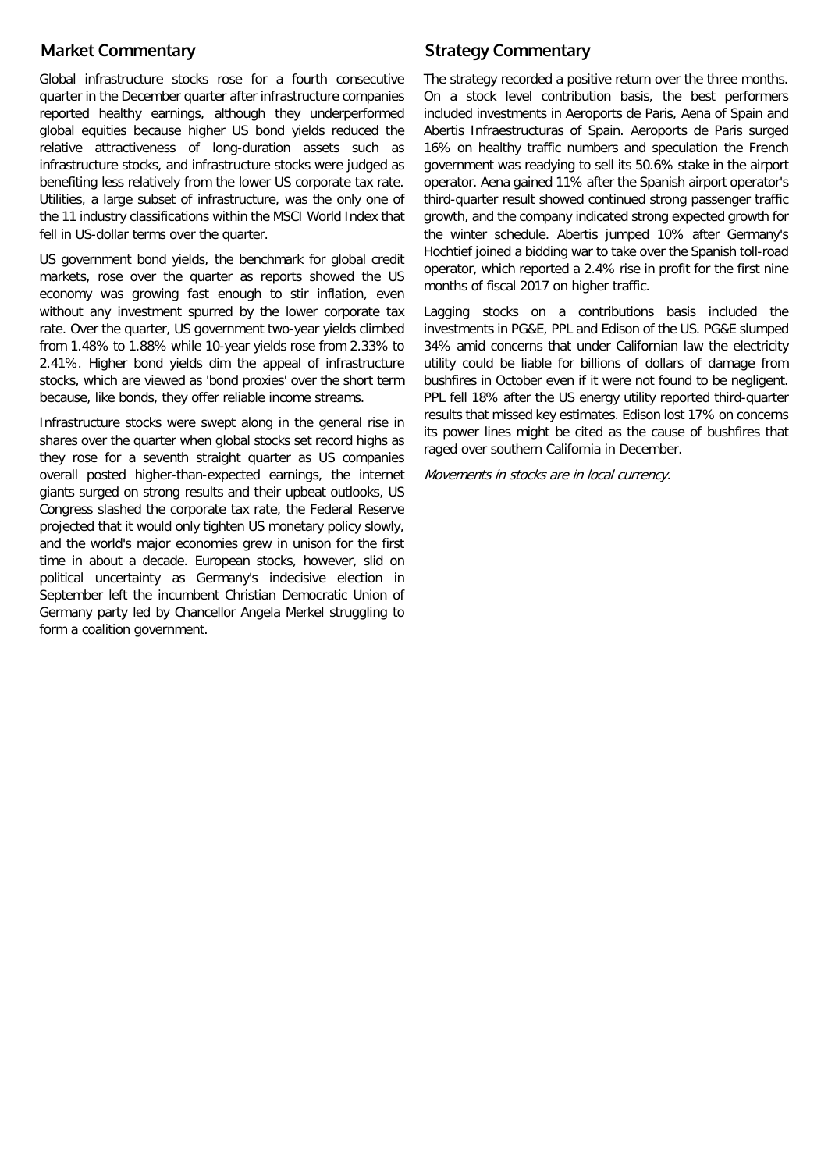# **Market Commentary**

Global infrastructure stocks rose for a fourth consecutive quarter in the December quarter after infrastructure companies reported healthy earnings, although they underperformed global equities because higher US bond yields reduced the relative attractiveness of long-duration assets such as infrastructure stocks, and infrastructure stocks were judged as benefiting less relatively from the lower US corporate tax rate. Utilities, a large subset of infrastructure, was the only one of the 11 industry classifications within the MSCI World Index that fell in US-dollar terms over the quarter.

US government bond yields, the benchmark for global credit markets, rose over the quarter as reports showed the US economy was growing fast enough to stir inflation, even without any investment spurred by the lower corporate tax rate. Over the quarter, US government two-year yields climbed from 1.48% to 1.88% while 10-year yields rose from 2.33% to 2.41%. Higher bond yields dim the appeal of infrastructure stocks, which are viewed as 'bond proxies' over the short term because, like bonds, they offer reliable income streams.

Infrastructure stocks were swept along in the general rise in shares over the quarter when global stocks set record highs as they rose for a seventh straight quarter as US companies overall posted higher-than-expected earnings, the internet giants surged on strong results and their upbeat outlooks, US Congress slashed the corporate tax rate, the Federal Reserve projected that it would only tighten US monetary policy slowly, and the world's major economies grew in unison for the first time in about a decade. European stocks, however, slid on political uncertainty as Germany's indecisive election in September left the incumbent Christian Democratic Union of Germany party led by Chancellor Angela Merkel struggling to form a coalition government.

# **Strategy Commentary**

The strategy recorded a positive return over the three months. On a stock level contribution basis, the best performers included investments in Aeroports de Paris, Aena of Spain and Abertis Infraestructuras of Spain. Aeroports de Paris surged 16% on healthy traffic numbers and speculation the French government was readying to sell its 50.6% stake in the airport operator. Aena gained 11% after the Spanish airport operator's third-quarter result showed continued strong passenger traffic growth, and the company indicated strong expected growth for the winter schedule. Abertis jumped 10% after Germany's Hochtief joined a bidding war to take over the Spanish toll-road operator, which reported a 2.4% rise in profit for the first nine months of fiscal 2017 on higher traffic.

Lagging stocks on a contributions basis included the investments in PG&E, PPL and Edison of the US. PG&E slumped 34% amid concerns that under Californian law the electricity utility could be liable for billions of dollars of damage from bushfires in October even if it were not found to be negligent. PPL fell 18% after the US energy utility reported third-quarter results that missed key estimates. Edison lost 17% on concerns its power lines might be cited as the cause of bushfires that raged over southern California in December.

Movements in stocks are in local currency.